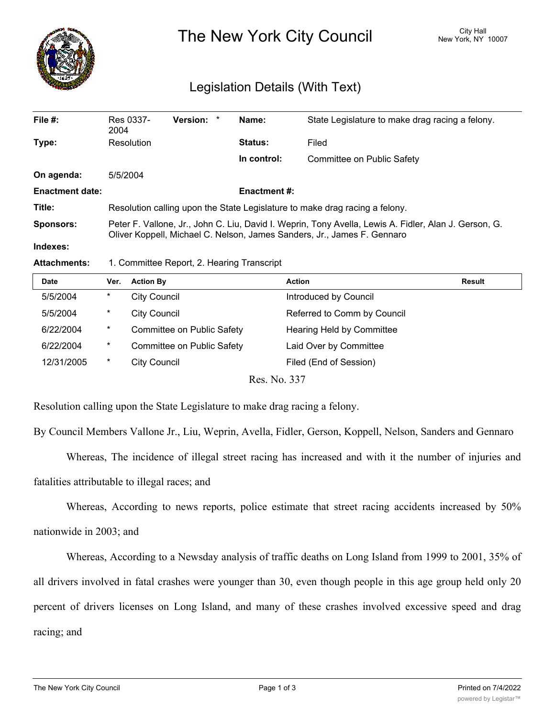

# The New York City Council New York, NY 10007

## Legislation Details (With Text)

| File $#$ :             | Res 0337-<br>2004                                                                                                                                                                | Version: * |  | Name:       | State Legislature to make drag racing a felony. |  |
|------------------------|----------------------------------------------------------------------------------------------------------------------------------------------------------------------------------|------------|--|-------------|-------------------------------------------------|--|
| Type:                  | Resolution                                                                                                                                                                       |            |  | Status:     | Filed                                           |  |
|                        |                                                                                                                                                                                  |            |  | In control: | Committee on Public Safety                      |  |
| On agenda:             | 5/5/2004                                                                                                                                                                         |            |  |             |                                                 |  |
| <b>Enactment date:</b> | <b>Enactment #:</b>                                                                                                                                                              |            |  |             |                                                 |  |
| Title:                 | Resolution calling upon the State Legislature to make drag racing a felony.                                                                                                      |            |  |             |                                                 |  |
| <b>Sponsors:</b>       | Peter F. Vallone, Jr., John C. Liu, David I. Weprin, Tony Avella, Lewis A. Fidler, Alan J. Gerson, G.<br>Oliver Koppell, Michael C. Nelson, James Sanders, Jr., James F. Gennaro |            |  |             |                                                 |  |
| Indexes:               |                                                                                                                                                                                  |            |  |             |                                                 |  |

#### **Attachments:** 1. Committee Report, 2. Hearing Transcript

| <b>Date</b> | Ver.     | <b>Action By</b>           | <b>Action</b>               | Result |
|-------------|----------|----------------------------|-----------------------------|--------|
| 5/5/2004    | $\ast$   | <b>City Council</b>        | Introduced by Council       |        |
| 5/5/2004    | *        | <b>City Council</b>        | Referred to Comm by Council |        |
| 6/22/2004   | $^\star$ | Committee on Public Safety | Hearing Held by Committee   |        |
| 6/22/2004   | $\ast$   | Committee on Public Safety | Laid Over by Committee      |        |
| 12/31/2005  | $\ast$   | <b>City Council</b>        | Filed (End of Session)      |        |
|             |          |                            |                             |        |

Res. No. 337

Resolution calling upon the State Legislature to make drag racing a felony.

By Council Members Vallone Jr., Liu, Weprin, Avella, Fidler, Gerson, Koppell, Nelson, Sanders and Gennaro

Whereas, The incidence of illegal street racing has increased and with it the number of injuries and fatalities attributable to illegal races; and

Whereas, According to news reports, police estimate that street racing accidents increased by 50% nationwide in 2003; and

Whereas, According to a Newsday analysis of traffic deaths on Long Island from 1999 to 2001, 35% of all drivers involved in fatal crashes were younger than 30, even though people in this age group held only 20 percent of drivers licenses on Long Island, and many of these crashes involved excessive speed and drag racing; and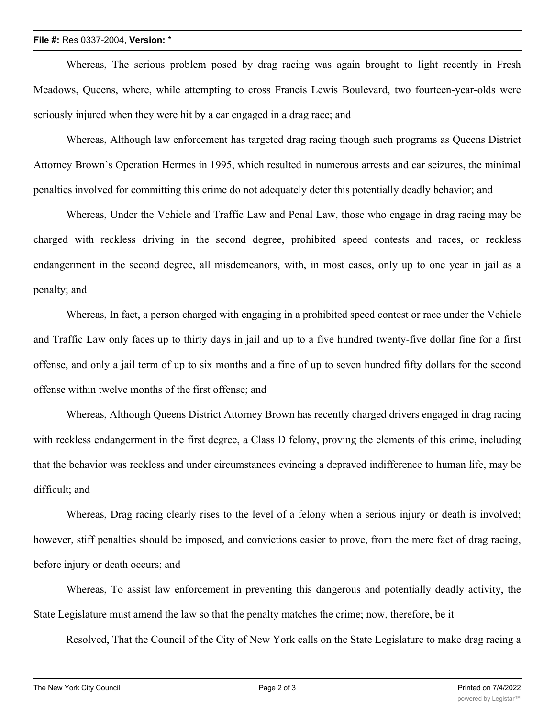#### **File #:** Res 0337-2004, **Version:** \*

Whereas, The serious problem posed by drag racing was again brought to light recently in Fresh Meadows, Queens, where, while attempting to cross Francis Lewis Boulevard, two fourteen-year-olds were seriously injured when they were hit by a car engaged in a drag race; and

Whereas, Although law enforcement has targeted drag racing though such programs as Queens District Attorney Brown's Operation Hermes in 1995, which resulted in numerous arrests and car seizures, the minimal penalties involved for committing this crime do not adequately deter this potentially deadly behavior; and

Whereas, Under the Vehicle and Traffic Law and Penal Law, those who engage in drag racing may be charged with reckless driving in the second degree, prohibited speed contests and races, or reckless endangerment in the second degree, all misdemeanors, with, in most cases, only up to one year in jail as a penalty; and

Whereas, In fact, a person charged with engaging in a prohibited speed contest or race under the Vehicle and Traffic Law only faces up to thirty days in jail and up to a five hundred twenty-five dollar fine for a first offense, and only a jail term of up to six months and a fine of up to seven hundred fifty dollars for the second offense within twelve months of the first offense; and

Whereas, Although Queens District Attorney Brown has recently charged drivers engaged in drag racing with reckless endangerment in the first degree, a Class D felony, proving the elements of this crime, including that the behavior was reckless and under circumstances evincing a depraved indifference to human life, may be difficult; and

Whereas, Drag racing clearly rises to the level of a felony when a serious injury or death is involved; however, stiff penalties should be imposed, and convictions easier to prove, from the mere fact of drag racing, before injury or death occurs; and

Whereas, To assist law enforcement in preventing this dangerous and potentially deadly activity, the State Legislature must amend the law so that the penalty matches the crime; now, therefore, be it

Resolved, That the Council of the City of New York calls on the State Legislature to make drag racing a